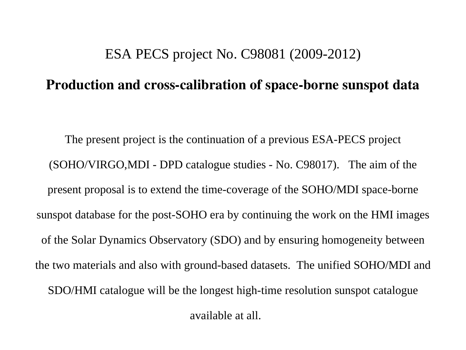## ESA PECS project No. C98081 (2009-2012)

## Production and cross-calibration of space-borne sunspot data

The present project is the continuation of a previous ESA-PECS project (SOHO/VIRGO,MDI - DPD catalogue studies - No. C98017). The aim of the present proposal is to extend the time-coverage of the SOHO/MDI space-borne sunspot database for the post-SOHO era by continuing the work on the HMI images of the Solar Dynamics Observatory (SDO) and by ensuring homogeneity between the two materials and also with ground-based datasets. The unified SOHO/MDI and SDO/HMI catalogue will be the longest high-time resolution sunspot catalogue

available at all.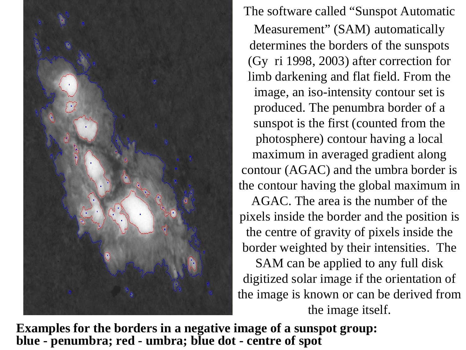

The software called "Sunspot Automatic

Measurement" (SAM) automatically determines the borders of the sunspots (Gy ri 1998, 2003) after correction for limb darkening and flat field. From the image, an iso-intensity contour set is produced. The penumbra border of a sunspot is the first (counted from the photosphere) contour having a local maximum in averaged gradient along contour (AGAC) and the umbra border is the contour having the global maximum in

AGAC. The area is the number of the pixels inside the border and the position is the centre of gravity of pixels inside the border weighted by their intensities. The

SAM can be applied to any full disk digitized solar image if the orientation of the image is known or can be derived from the image itself.

**Examples for the borders in a negative image of a sunspot group: blue - penumbra; red - umbra; blue dot - centre of spot**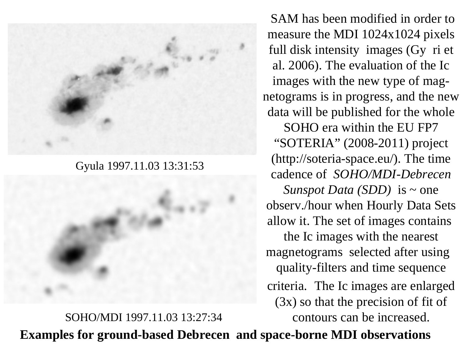

Gyula 1997.11.03 13:31:53

SOHO/MDI 1997.11.03 13:27:34

SAM has been modified in order to measure the MDI 1024x1024 pixels full disk intensity images (Gy ri et al. 2006). The evaluation of the Ic images with the new type of magnetograms is in progress, and the new data will be published for the whole SOHO era within the EU FP7 "SOTERIA" (2008-2011) project (http://soteria-space.eu/). The time cadence of *SOHO/MDI-Debrecen Sunspot Data (SDD)* is ~ one observ./hour when Hourly Data Sets allow it. The set of images contains the Ic images with the nearest magnetograms selected after using quality-filters and time sequence criteria. The Ic images are enlarged (3x) so that the precision of fit of contours can be increased.

**Examples for ground-based Debrecen and space-borne MDI observations**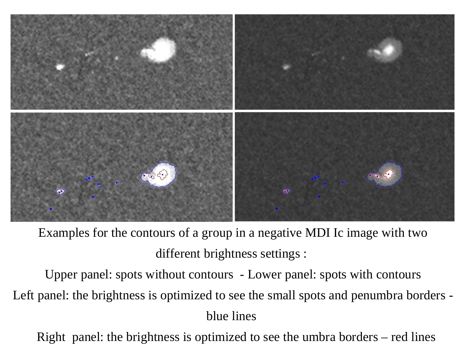

Examples for the contours of a group in a negative MDI Ic image with two different brightness settings :

Upper panel: spots without contours - Lower panel: spots with contours Left panel: the brightness is optimized to see the small spots and penumbra borders blue lines

Right panel: the brightness is optimized to see the umbra borders – red lines